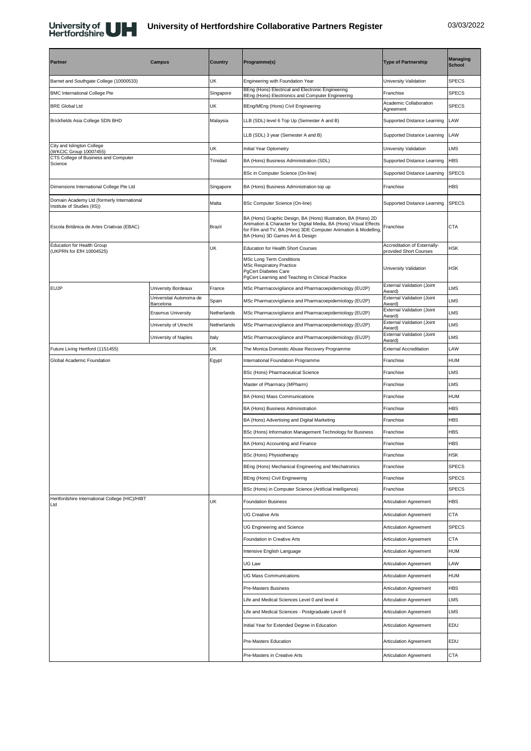

## **University of Hertfordshire Collaborative Partners Register** 03/03/2022

| <b>Partner</b>                                                            | <b>Campus</b>                        | <b>Country</b> | Programme(s)                                                                                                                                                                                                                             | <b>Type of Partnership</b>                             | <b>Managing</b><br><b>School</b> |
|---------------------------------------------------------------------------|--------------------------------------|----------------|------------------------------------------------------------------------------------------------------------------------------------------------------------------------------------------------------------------------------------------|--------------------------------------------------------|----------------------------------|
| Barnet and Southgate College (10000533)                                   |                                      | UK             | Engineering with Foundation Year                                                                                                                                                                                                         | University Validation                                  | <b>SPECS</b>                     |
| <b>BMC International College Pte</b>                                      |                                      | Singapore      | BEng (Hons) Electrical and Electronic Engineering<br>BEng (Hons) Electrionics and Computer Engineering                                                                                                                                   | Franchise                                              | <b>SPECS</b>                     |
| <b>BRE Global Ltd</b>                                                     |                                      | UK             | BEng/MEng (Hons) Civil Engineering                                                                                                                                                                                                       | Academic Collaboration<br>Agreement                    | <b>SPECS</b>                     |
| Brickfields Asia College SDN BHD                                          |                                      | Malaysia       | LLB (SDL) level 6 Top Up (Semester A and B)                                                                                                                                                                                              | Supported Distance Learning                            | LAW                              |
|                                                                           |                                      |                | LLB (SDL) 3 year (Semester A and B)                                                                                                                                                                                                      | Supported Distance Learning                            | LAW                              |
| City and Islington College<br>(WKCIC Group 10007455)                      |                                      | UK             | Initial Year Optometry                                                                                                                                                                                                                   | University Validation                                  | LMS                              |
| CTS College of Business and Computer<br>Science                           |                                      | Trinidad       | BA (Hons) Business Administration (SDL)                                                                                                                                                                                                  | Supported Distance Learning                            | <b>HBS</b>                       |
|                                                                           |                                      |                | BSc in Computer Science (On-line)                                                                                                                                                                                                        | Supported Distance Learning                            | <b>SPECS</b>                     |
| Dimensions International College Pte Ltd                                  |                                      | Singapore      | BA (Hons) Business Administration top up                                                                                                                                                                                                 | Franchise                                              | HBS                              |
| Domain Academy Ltd (formerly International<br>Institute of Studies (IIS)) |                                      | Malta          | BSc Computer Science (On-line)                                                                                                                                                                                                           | Supported Distance Learning                            | <b>SPECS</b>                     |
| Escola Britânica de Artes Criativas (EBAC)                                |                                      | Brazil         | BA (Hons) Graphic Design, BA (Hons) Illustration, BA (Hons) 2D<br>Animation & Character for Digital Media, BA (Hons) Visual Effects<br>for Film and TV, BA (Hons) 3DE Computer Animation & Modelling,<br>BA (Hons) 3D Games Art & Design | Franchise                                              | <b>CTA</b>                       |
| <b>Education for Health Group</b><br>(UKPRN for EfH 10004525)             |                                      | UK             | Education for Health Short Courses                                                                                                                                                                                                       | Accreditation of Externally-<br>provided Short Courses | HSK                              |
|                                                                           |                                      |                | <b>MSc Long Term Conditions</b><br><b>MSc Respiratory Practice</b><br><b>PgCert Diabetes Care</b><br>PgCert Learning and Teaching in Clinical Practice                                                                                   | University Validation                                  | <b>HSK</b>                       |
| EU2P                                                                      | University Bordeaux                  | France         | MSc Pharmacovigilance and Pharmacoepidemiology (EU2P)                                                                                                                                                                                    | External Validation (Joint<br>Award)                   | LMS                              |
|                                                                           | Universitat Autonoma de<br>Barcelona | Spain          | MSc Pharmacovigilance and Pharmacoepidemiology (EU2P)                                                                                                                                                                                    | External Validation (Joint<br>Award)                   | LMS                              |
|                                                                           | <b>Erasmus University</b>            | Netherlands    | MSc Pharmacovigilance and Pharmacoepidemiology (EU2P)                                                                                                                                                                                    | External Validation (Joint<br>Award)                   | LMS                              |
|                                                                           | University of Utrecht                | Netherlands    | MSc Pharmacovigilance and Pharmacoepidemiology (EU2P)                                                                                                                                                                                    | External Validation (Joint<br>Award)                   | LMS                              |
|                                                                           | University of Naples                 | Italy          | MSc Pharmacovigilance and Pharmacoepidemiology (EU2P)                                                                                                                                                                                    | External Validation (Joint<br>Award)                   | LMS                              |
| Future Living Hertford (1151455)                                          |                                      | UK             | The Monica Domestic Abuse Recovery Programme                                                                                                                                                                                             | <b>External Accreditation</b>                          | LAW                              |
| Global Academic Foundation                                                |                                      | Egypt          | International Foundation Programme                                                                                                                                                                                                       | Franchise                                              | <b>HUM</b>                       |
|                                                                           |                                      |                | BSc (Hons) Pharmaceutical Science                                                                                                                                                                                                        | Franchise                                              | <b>LMS</b>                       |
|                                                                           |                                      |                | Master of Pharmacy (MPharm)                                                                                                                                                                                                              | Franchise                                              | LMS                              |
|                                                                           |                                      |                | BA (Hons) Mass Communications                                                                                                                                                                                                            | Franchise                                              | <b>HUM</b>                       |
|                                                                           |                                      |                | BA (Hons) Business Administration                                                                                                                                                                                                        | Franchise                                              | <b>HBS</b>                       |
|                                                                           |                                      |                | BA (Hons) Advertising and Digital Marketing                                                                                                                                                                                              | Franchise                                              | <b>HBS</b>                       |
|                                                                           |                                      |                | BSc (Hons) Information Management Technology for Business                                                                                                                                                                                | Franchise                                              | HBS                              |
|                                                                           |                                      |                | BA (Hons) Accounting and Finance                                                                                                                                                                                                         | Franchise                                              | <b>HBS</b>                       |
|                                                                           |                                      |                | BSc (Hons) Physiotherapy                                                                                                                                                                                                                 | Franchise                                              | <b>HSK</b>                       |
|                                                                           |                                      |                | BEng (Hons) Mechanical Engineering and Mechatronics                                                                                                                                                                                      | Franchise                                              | <b>SPECS</b>                     |
|                                                                           |                                      |                | BEng (Hons) Civil Engineering                                                                                                                                                                                                            | Franchise                                              | <b>SPECS</b>                     |
| Hertfordshire International College (HIC)/HIBT                            |                                      |                | BSc (Hons) in Computer Science (Artificial Intelligence)                                                                                                                                                                                 | Franchise                                              | <b>SPECS</b>                     |
| Ltd                                                                       |                                      | UK             | <b>Foundation Business</b>                                                                                                                                                                                                               | <b>Articulation Agreement</b>                          | <b>HBS</b>                       |
|                                                                           |                                      |                | <b>UG Creative Arts</b>                                                                                                                                                                                                                  | <b>Articulation Agreement</b>                          | <b>CTA</b>                       |
|                                                                           |                                      |                | <b>UG Engineering and Science</b>                                                                                                                                                                                                        | <b>Articulation Agreement</b>                          | <b>SPECS</b>                     |
|                                                                           |                                      |                | Foundation in Creative Arts                                                                                                                                                                                                              | Articulation Agreement                                 | <b>CTA</b>                       |
|                                                                           |                                      |                | Intensive English Language                                                                                                                                                                                                               | Articulation Agreement                                 | <b>HUM</b>                       |
|                                                                           |                                      |                | UG Law                                                                                                                                                                                                                                   | Articulation Agreement                                 | LAW                              |
|                                                                           |                                      |                | <b>UG Mass Communications</b>                                                                                                                                                                                                            | Articulation Agreement                                 | <b>HUM</b>                       |
|                                                                           |                                      |                | Pre-Masters Business                                                                                                                                                                                                                     | Articulation Agreement                                 | HBS                              |
|                                                                           |                                      |                | Life and Medical Sciences Level 0 and level 4<br>Life and Medical Sciences - Postgraduate Level 6                                                                                                                                        | Articulation Agreement<br>Articulation Agreement       | LMS<br>LMS                       |
|                                                                           |                                      |                |                                                                                                                                                                                                                                          |                                                        | EDU                              |
|                                                                           |                                      |                | Initial Year for Extended Degree in Education                                                                                                                                                                                            | Articulation Agreement                                 |                                  |
|                                                                           |                                      |                | Pre-Masters Education                                                                                                                                                                                                                    | <b>Articulation Agreement</b>                          | EDU                              |
|                                                                           |                                      |                | Pre-Masters in Creative Arts                                                                                                                                                                                                             | <b>Articulation Agreement</b>                          | <b>CTA</b>                       |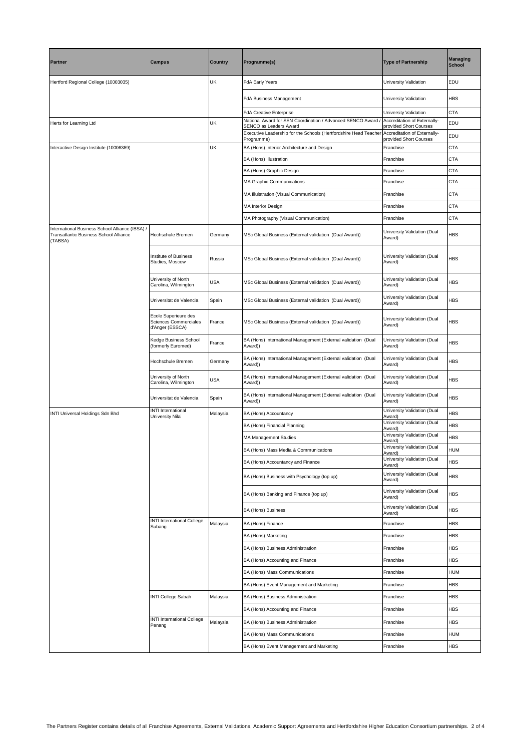| Partner                                                                                              | <b>Campus</b>                                                    | <b>Country</b> | Programme(s)                                                                           | <b>Type of Partnership</b>                             | <b>Managing</b><br><b>School</b> |
|------------------------------------------------------------------------------------------------------|------------------------------------------------------------------|----------------|----------------------------------------------------------------------------------------|--------------------------------------------------------|----------------------------------|
| Hertford Regional College (10003035)                                                                 |                                                                  | UK             | FdA Early Years                                                                        | University Validation                                  | EDU                              |
|                                                                                                      |                                                                  |                | FdA Business Management                                                                | University Validation                                  | <b>HBS</b>                       |
|                                                                                                      |                                                                  |                | <b>FdA Creative Enterprise</b>                                                         | University Validation                                  | <b>CTA</b>                       |
| Herts for Learning Ltd                                                                               |                                                                  | UK             | National Award for SEN Coordination / Advanced SENCO Award /<br>SENCO as Leaders Award | Accreditation of Externally-<br>provided Short Courses | EDU                              |
|                                                                                                      |                                                                  |                | Executive Leadership for the Schools (Hertfordshire Head Teache<br>Programme)          | Accreditation of Externally-<br>provided Short Courses | EDU                              |
| Interactive Design Institute (10006389)                                                              |                                                                  | <b>UK</b>      | BA (Hons) Interior Architecture and Design                                             | Franchise                                              | <b>CTA</b>                       |
|                                                                                                      |                                                                  |                | BA (Hons) Illustration                                                                 | Franchise                                              | <b>CTA</b>                       |
|                                                                                                      |                                                                  |                | BA (Hons) Graphic Design                                                               | Franchise                                              | <b>CTA</b>                       |
|                                                                                                      |                                                                  |                | MA Graphic Communications                                                              | Franchise                                              | <b>CTA</b>                       |
|                                                                                                      |                                                                  |                | MA Illulstration (Visual Communication)                                                | Franchise                                              | <b>CTA</b>                       |
|                                                                                                      |                                                                  |                | <b>MA Interior Design</b>                                                              | Franchise                                              | CTA                              |
|                                                                                                      |                                                                  |                | MA Photography (Visual Communication)                                                  | Franchise                                              | <b>CTA</b>                       |
| International Business School Alliance (IBSA) /<br>Transatlantic Business School Alliance<br>(TABSA) | Hochschule Bremen                                                | Germany        | MSc Global Business (External validation (Dual Award))                                 | University Validation (Dual<br>Award)                  | <b>HBS</b>                       |
|                                                                                                      | Institute of Business<br>Studies, Moscow                         | Russia         | MSc Global Business (External validation (Dual Award))                                 | University Validation (Dual<br>Award)                  | HBS                              |
|                                                                                                      | University of North<br>Carolina, Wilmington                      | <b>USA</b>     | MSc Global Business (External validation (Dual Award))                                 | University Validation (Dual<br>Award)                  | <b>HBS</b>                       |
|                                                                                                      | Universitat de Valencia                                          | Spain          | MSc Global Business (External validation (Dual Award))                                 | University Validation (Dual<br>Award)                  | <b>HBS</b>                       |
|                                                                                                      | Ecole Superieure des<br>Sciences Commerciales<br>d'Anger (ESSCA) | France         | MSc Global Business (External validation (Dual Award))                                 | University Validation (Dual<br>Award)                  | <b>HBS</b>                       |
|                                                                                                      | Kedge Business School<br>(formerly Euromed)                      | France         | BA (Hons) International Management (External validation (Dual<br>Award))               | University Validation (Dual<br>Award)                  | <b>HBS</b>                       |
|                                                                                                      | Hochschule Bremen                                                | Germany        | BA (Hons) International Management (External validation (Dual<br>Award))               | University Validation (Dual<br>Award)                  | <b>HBS</b>                       |
|                                                                                                      | University of North<br>Carolina, Wilmington                      | <b>USA</b>     | BA (Hons) International Management (External validation (Dual<br>Award))               | University Validation (Dual<br>Award)                  | <b>HBS</b>                       |
|                                                                                                      | Universitat de Valencia                                          | Spain          | BA (Hons) International Management (External validation (Dual<br>Award))               | University Validation (Dual<br>Award)                  | <b>HBS</b>                       |
| INTI Universal Holdings Sdn Bhd                                                                      | INTI International<br>University Nilai                           | Malaysia       | BA (Hons) Accountancy                                                                  | University Validation (Dual<br>Award)                  | <b>HBS</b>                       |
|                                                                                                      |                                                                  |                | BA (Hons) Financial Planning                                                           | University Validation (Dual<br>Award)                  | <b>HBS</b>                       |
|                                                                                                      |                                                                  |                | <b>MA Management Studies</b>                                                           | University Validation (Dual<br>Award)                  | <b>HBS</b>                       |
|                                                                                                      |                                                                  |                | BA (Hons) Mass Media & Communications                                                  | University Validation (Dual<br>Award)                  | HUM                              |
|                                                                                                      |                                                                  |                | BA (Hons) Accountancy and Finance                                                      | University Validation (Dual<br>Award)                  | HBS                              |
|                                                                                                      |                                                                  |                | BA (Hons) Business with Psychology (top up)                                            | University Validation (Dual<br>Award)                  | <b>HBS</b>                       |
|                                                                                                      |                                                                  |                | BA (Hons) Banking and Finance (top up)                                                 | University Validation (Dual<br>Award)                  | <b>HBS</b>                       |
|                                                                                                      |                                                                  |                | BA (Hons) Business                                                                     | University Validation (Dual<br>Award)                  | HBS                              |
|                                                                                                      | <b>INTI International College</b><br>Subang                      | Malaysia       | BA (Hons) Finance                                                                      | Franchise                                              | <b>HBS</b>                       |
|                                                                                                      |                                                                  |                | BA (Hons) Marketing                                                                    | Franchise                                              | <b>HBS</b>                       |
|                                                                                                      |                                                                  |                | BA (Hons) Business Administration                                                      | Franchise                                              | <b>HBS</b>                       |
|                                                                                                      |                                                                  |                | BA (Hons) Accounting and Finance                                                       | Franchise                                              | <b>HBS</b>                       |
|                                                                                                      |                                                                  |                | BA (Hons) Mass Communications                                                          | Franchise                                              | HUM                              |
|                                                                                                      |                                                                  |                | BA (Hons) Event Management and Marketing                                               | Franchise                                              | <b>HBS</b>                       |
|                                                                                                      | INTI College Sabah                                               | Malaysia       | BA (Hons) Business Administration                                                      | Franchise                                              | <b>HBS</b>                       |
|                                                                                                      |                                                                  |                | BA (Hons) Accounting and Finance                                                       | Franchise                                              | <b>HBS</b>                       |
|                                                                                                      | <b>INTI International College</b>                                | Malaysia       | BA (Hons) Business Administration                                                      | Franchise                                              | <b>HBS</b>                       |
|                                                                                                      | Penang                                                           |                | BA (Hons) Mass Communications                                                          | Franchise                                              | HUM                              |
|                                                                                                      |                                                                  |                | BA (Hons) Event Management and Marketing                                               | Franchise                                              | <b>HBS</b>                       |
|                                                                                                      |                                                                  |                |                                                                                        |                                                        |                                  |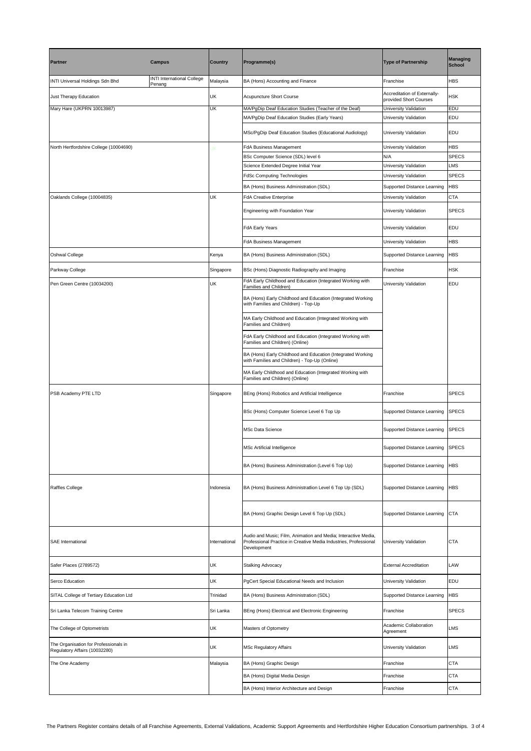| <b>Partner</b>                                                         | <b>Campus</b>                               | <b>Country</b> | Programme(s)                                                                                                                                      | <b>Type of Partnership</b>                             | <b>Managing</b><br><b>School</b> |
|------------------------------------------------------------------------|---------------------------------------------|----------------|---------------------------------------------------------------------------------------------------------------------------------------------------|--------------------------------------------------------|----------------------------------|
| INTI Universal Holdings Sdn Bhd                                        | <b>INTI International College</b><br>Penang | Malaysia       | BA (Hons) Accounting and Finance                                                                                                                  | Franchise                                              | HBS                              |
| Just Therapy Education                                                 |                                             | UK             | Acupuncture Short Course                                                                                                                          | Accreditation of Externally-<br>provided Short Courses | <b>HSK</b>                       |
| Mary Hare (UKPRN 10013987)                                             |                                             | UK             | MA/PgDip Deaf Education Studies (Teacher of the Deaf)<br>MA/PgDip Deaf Education Studies (Early Years)                                            | University Validation<br>University Validation         | EDU<br>EDU                       |
|                                                                        |                                             |                | MSc/PgDip Deaf Education Studies (Educational Audiology)                                                                                          | University Validation                                  | EDU                              |
| North Hertfordshire College (10004690)                                 |                                             | ŪK             | FdA Business Management                                                                                                                           | University Validation                                  | <b>HBS</b>                       |
|                                                                        |                                             |                | BSc Computer Science (SDL) level 6                                                                                                                | N/A                                                    | <b>SPECS</b>                     |
|                                                                        |                                             |                | Science Extended Degree Initial Year                                                                                                              | University Validation                                  | LMS                              |
|                                                                        |                                             |                | FdSc Computing Technologies                                                                                                                       | University Validation                                  | <b>SPECS</b>                     |
|                                                                        |                                             |                | BA (Hons) Business Administration (SDL)                                                                                                           | Supported Distance Learning                            | <b>HBS</b>                       |
| Oaklands College (10004835)                                            |                                             | UK             | <b>FdA Creative Enterprise</b>                                                                                                                    | University Validation                                  | CTA                              |
|                                                                        |                                             |                | Engineering with Foundation Year                                                                                                                  | University Validation                                  | <b>SPECS</b>                     |
|                                                                        |                                             |                | FdA Early Years                                                                                                                                   | University Validation                                  | EDU                              |
|                                                                        |                                             |                | FdA Business Management                                                                                                                           | University Validation                                  | HBS                              |
| Oshwal College                                                         |                                             | Kenya          | BA (Hons) Business Administration (SDL)                                                                                                           | Supported Distance Learning                            | HBS                              |
| Parkway College                                                        |                                             | Singapore      | BSc (Hons) Diagnostic Radiography and Imaging                                                                                                     | Franchise                                              | HSK                              |
| Pen Green Centre (10034200)                                            |                                             | UK             | FdA Early Childhood and Education (Integrated Working with<br>Families and Children)                                                              | University Validation                                  | EDU                              |
|                                                                        |                                             |                | BA (Hons) Early Childhood and Education (Integrated Working<br>with Families and Children) - Top-Up                                               |                                                        |                                  |
|                                                                        |                                             |                | MA Early Childhood and Education (Integrated Working with<br>Families and Children)                                                               |                                                        |                                  |
|                                                                        |                                             |                | FdA Early Childhood and Education (Integrated Working with<br>Families and Children) (Online)                                                     |                                                        |                                  |
|                                                                        |                                             |                | BA (Hons) Early Childhood and Education (Integrated Working<br>with Families and Children) - Top-Up (Online)                                      |                                                        |                                  |
|                                                                        |                                             |                | MA Early Childhood and Education (Integrated Working with<br>Families and Children) (Online)                                                      |                                                        |                                  |
| PSB Academy PTE LTD                                                    |                                             | Singapore      | BEng (Hons) Robotics and Artificial Intelligence                                                                                                  | Franchise                                              | <b>SPECS</b>                     |
|                                                                        |                                             |                | BSc (Hons) Computer Science Level 6 Top Up                                                                                                        | Supported Distance Learning                            | <b>SPECS</b>                     |
|                                                                        |                                             |                | <b>MSc Data Science</b>                                                                                                                           | Supported Distance Learning                            | <b>SPECS</b>                     |
|                                                                        |                                             |                | MSc Artificial Intelligence                                                                                                                       | Supported Distance Learning SPECS                      |                                  |
|                                                                        |                                             |                | BA (Hons) Business Administration (Level 6 Top Up)                                                                                                | Supported Distance Learning                            | <b>HBS</b>                       |
| Raffles College                                                        |                                             | Indonesia      | BA (Hons) Business Administratiion Level 6 Top Up (SDL)                                                                                           | Supported Distance Learning                            | <b>HBS</b>                       |
|                                                                        |                                             |                | BA (Hons) Graphic Design Level 6 Top Up (SDL)                                                                                                     | Supported Distance Learning                            | <b>CTA</b>                       |
| <b>SAE</b> International                                               |                                             | International  | Audio and Music; Film, Animation and Media; Interactive Media,<br>Professional Practice in Creative Media Industries, Professional<br>Development | University Validation                                  | <b>CTA</b>                       |
| Safer Places (2789572)                                                 |                                             | UK             | Stalking Advocacy                                                                                                                                 | <b>External Accreditation</b>                          | LAW                              |
| Serco Education                                                        |                                             | UK             | PgCert Special Educational Needs and Inclusion                                                                                                    | University Validation                                  | EDU                              |
| SITAL College of Tertiary Education Ltd                                |                                             | Trinidad       | BA (Hons) Business Administration (SDL)                                                                                                           | Supported Distance Learning                            | HBS                              |
| Sri Lanka Telecom Training Centre                                      |                                             | Sri Lanka      | BEng (Hons) Electrical and Electronic Engineering                                                                                                 | Franchise                                              | <b>SPECS</b>                     |
| The College of Optometrists                                            |                                             | UK             | Masters of Optometry                                                                                                                              | Academic Collaboration<br>Agreement                    | <b>LMS</b>                       |
| The Organisation for Professionals in<br>Regulatory Affairs (10032280) |                                             | UK             | <b>MSc Regulatory Affairs</b>                                                                                                                     | University Validation                                  | <b>LMS</b>                       |
| The One Academy                                                        |                                             | Malaysia       | BA (Hons) Graphic Design                                                                                                                          | Franchise                                              | <b>CTA</b>                       |
|                                                                        |                                             |                | BA (Hons) Digital Media Design                                                                                                                    | Franchise                                              | <b>CTA</b>                       |
|                                                                        |                                             |                |                                                                                                                                                   |                                                        |                                  |
|                                                                        |                                             |                | BA (Hons) Interior Architecture and Design                                                                                                        | Franchise                                              | <b>CTA</b>                       |